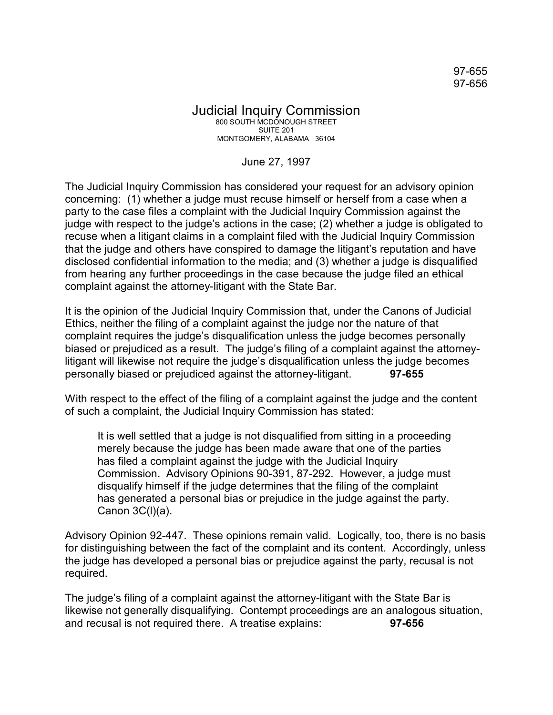97-655 97-656

## Judicial Inquiry Commission 800 SOUTH MCDONOUGH STREET SUITE 201 MONTGOMERY, ALABAMA 36104

## June 27, 1997

The Judicial Inquiry Commission has considered your request for an advisory opinion concerning: (1) whether a judge must recuse himself or herself from a case when a party to the case files a complaint with the Judicial Inquiry Commission against the judge with respect to the judge's actions in the case; (2) whether a judge is obligated to recuse when a litigant claims in a complaint filed with the Judicial Inquiry Commission that the judge and others have conspired to damage the litigant's reputation and have disclosed confidential information to the media; and (3) whether a judge is disqualified from hearing any further proceedings in the case because the judge filed an ethical complaint against the attorney-litigant with the State Bar.

It is the opinion of the Judicial Inquiry Commission that, under the Canons of Judicial Ethics, neither the filing of a complaint against the judge nor the nature of that complaint requires the judge's disqualification unless the judge becomes personally biased or prejudiced as a result. The judge's filing of a complaint against the attorneylitigant will likewise not require the judge's disqualification unless the judge becomes personally biased or prejudiced against the attorney-litigant. **97-655**

With respect to the effect of the filing of a complaint against the judge and the content of such a complaint, the Judicial Inquiry Commission has stated:

It is well settled that a judge is not disqualified from sitting in a proceeding merely because the judge has been made aware that one of the parties has filed a complaint against the judge with the Judicial Inquiry Commission. Advisory Opinions 90-391, 87-292. However, a judge must disqualify himself if the judge determines that the filing of the complaint has generated a personal bias or prejudice in the judge against the party. Canon 3C(l)(a).

Advisory Opinion 92-447. These opinions remain valid. Logically, too, there is no basis for distinguishing between the fact of the complaint and its content. Accordingly, unless the judge has developed a personal bias or prejudice against the party, recusal is not required.

The judge's filing of a complaint against the attorney-litigant with the State Bar is likewise not generally disqualifying. Contempt proceedings are an analogous situation, and recusal is not required there. A treatise explains: **97-656**